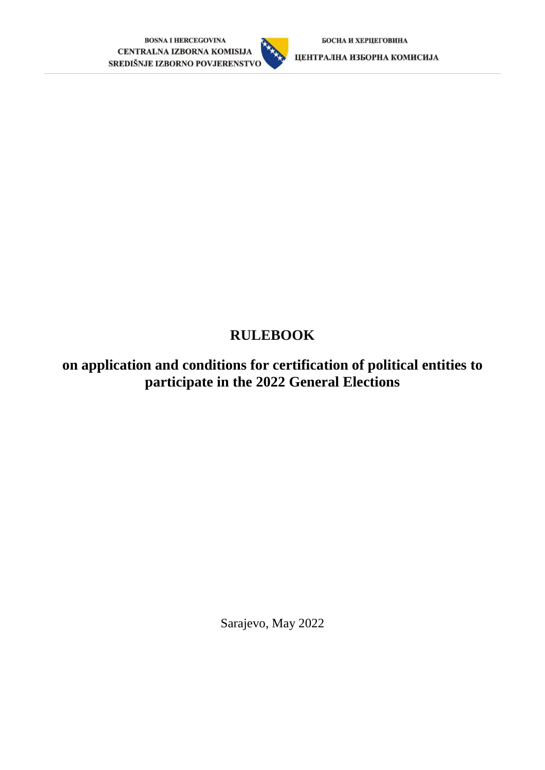

ЦЕНТРАЛНА ИЗБОРНА КОМИСИЈА

# **RULEBOOK**

**on application and conditions for certification of political entities to participate in the 2022 General Elections** 

Sarajevo, May 2022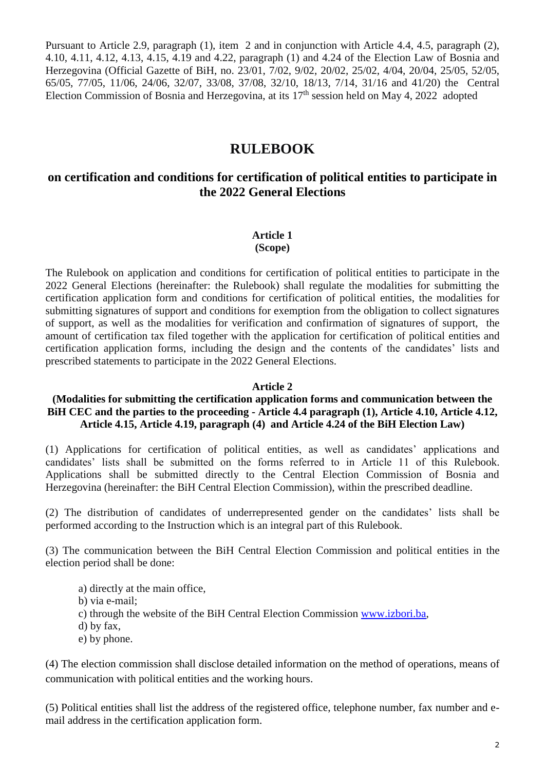Pursuant to Article 2.9, paragraph (1), item 2 and in conjunction with Article 4.4, 4.5, paragraph (2), 4.10, 4.11, 4.12, 4.13, 4.15, 4.19 and 4.22, paragraph (1) and 4.24 of the Election Law of Bosnia and Herzegovina (Official Gazette of BiH, no. 23/01, 7/02, 9/02, 20/02, 25/02, 4/04, 20/04, 25/05, 52/05, 65/05, 77/05, 11/06, 24/06, 32/07, 33/08, 37/08, 32/10, 18/13, 7/14, 31/16 and 41/20) the Central Election Commission of Bosnia and Herzegovina, at its  $17<sup>th</sup>$  session held on May 4, 2022 adopted

# **RULEBOOK**

# **on certification and conditions for certification of political entities to participate in the 2022 General Elections**

# **Article 1**

#### **(Scope)**

The Rulebook on application and conditions for certification of political entities to participate in the 2022 General Elections (hereinafter: the Rulebook) shall regulate the modalities for submitting the certification application form and conditions for certification of political entities, the modalities for submitting signatures of support and conditions for exemption from the obligation to collect signatures of support, as well as the modalities for verification and confirmation of signatures of support, the amount of certification tax filed together with the application for certification of political entities and certification application forms, including the design and the contents of the candidates' lists and prescribed statements to participate in the 2022 General Elections.

#### **Article 2**

#### **(Modalities for submitting the certification application forms and communication between the BiH CEC and the parties to the proceeding - Article 4.4 paragraph (1), Article 4.10, Article 4.12, Article 4.15, Article 4.19, paragraph (4) and Article 4.24 of the BiH Election Law)**

(1) Applications for certification of political entities, as well as candidates' applications and candidates' lists shall be submitted on the forms referred to in Article 11 of this Rulebook. Applications shall be submitted directly to the Central Election Commission of Bosnia and Herzegovina (hereinafter: the BiH Central Election Commission), within the prescribed deadline.

(2) The distribution of candidates of underrepresented gender on the candidates' lists shall be performed according to the Instruction which is an integral part of this Rulebook.

(3) The communication between the BiH Central Election Commission and political entities in the election period shall be done:

- a) directly at the main office,
- b) via e-mail;
- c) through the website of the BiH Central Election Commission [www.izbori.ba,](http://www.izbori.ba/)
- d) by fax,
- e) by phone.

(4) The election commission shall disclose detailed information on the method of operations, means of communication with political entities and the working hours.

(5) Political entities shall list the address of the registered office, telephone number, fax number and email address in the certification application form.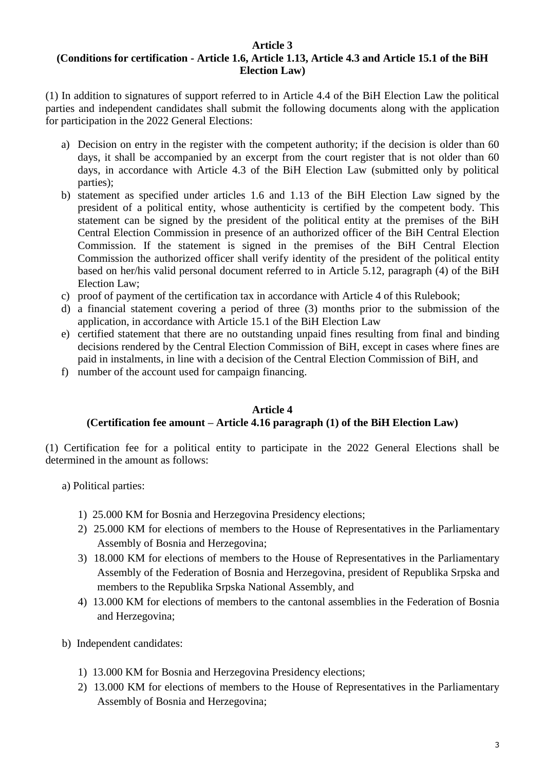#### **Article 3 (Conditions for certification - Article 1.6, Article 1.13, Article 4.3 and Article 15.1 of the BiH Election Law)**

(1) In addition to signatures of support referred to in Article 4.4 of the BiH Election Law the political parties and independent candidates shall submit the following documents along with the application for participation in the 2022 General Elections:

- a) Decision on entry in the register with the competent authority; if the decision is older than 60 days, it shall be accompanied by an excerpt from the court register that is not older than 60 days, in accordance with Article 4.3 of the BiH Election Law (submitted only by political parties);
- b) statement as specified under articles 1.6 and 1.13 of the BiH Election Law signed by the president of a political entity, whose authenticity is certified by the competent body. This statement can be signed by the president of the political entity at the premises of the BiH Central Election Commission in presence of an authorized officer of the BiH Central Election Commission. If the statement is signed in the premises of the BiH Central Election Commission the authorized officer shall verify identity of the president of the political entity based on her/his valid personal document referred to in Article 5.12, paragraph (4) of the BiH Election Law;
- c) proof of payment of the certification tax in accordance with Article 4 of this Rulebook;
- d) a financial statement covering a period of three (3) months prior to the submission of the application, in accordance with Article 15.1 of the BiH Election Law
- e) certified statement that there are no outstanding unpaid fines resulting from final and binding decisions rendered by the Central Election Commission of BiH, except in cases where fines are paid in instalments, in line with a decision of the Central Election Commission of BiH, and
- f) number of the account used for campaign financing.

#### **Article 4 (Certification fee amount – Article 4.16 paragraph (1) of the BiH Election Law)**

(1) Certification fee for a political entity to participate in the 2022 General Elections shall be determined in the amount as follows:

- a) Political parties:
	- 1) 25.000 KM for Bosnia and Herzegovina Presidency elections;
	- 2) 25.000 KM for elections of members to the House of Representatives in the Parliamentary Assembly of Bosnia and Herzegovina;
	- 3) 18.000 KM for elections of members to the House of Representatives in the Parliamentary Assembly of the Federation of Bosnia and Herzegovina, president of Republika Srpska and members to the Republika Srpska National Assembly, and
	- 4) 13.000 KM for elections of members to the cantonal assemblies in the Federation of Bosnia and Herzegovina;
- b) Independent candidates:
	- 1) 13.000 KM for Bosnia and Herzegovina Presidency elections;
	- 2) 13.000 KM for elections of members to the House of Representatives in the Parliamentary Assembly of Bosnia and Herzegovina;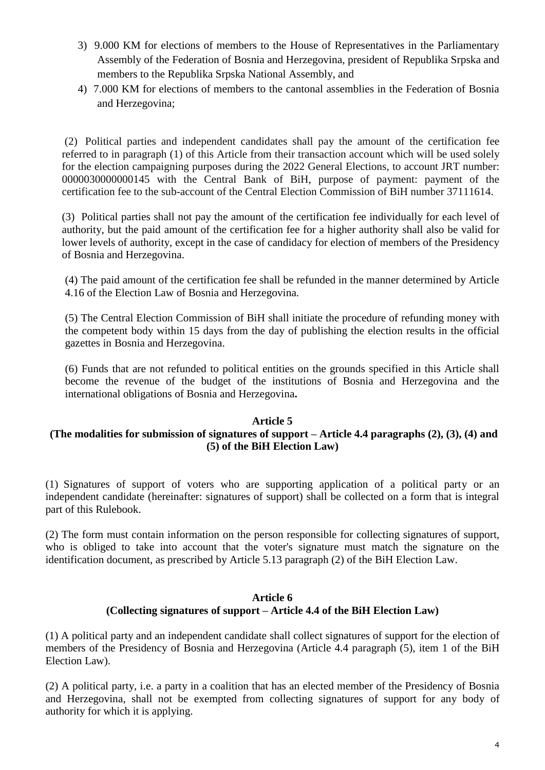- 3) 9.000 KM for elections of members to the House of Representatives in the Parliamentary Assembly of the Federation of Bosnia and Herzegovina, president of Republika Srpska and members to the Republika Srpska National Assembly, and
- 4) 7.000 KM for elections of members to the cantonal assemblies in the Federation of Bosnia and Herzegovina;

(2) Political parties and independent candidates shall pay the amount of the certification fee referred to in paragraph (1) of this Article from their transaction account which will be used solely for the election campaigning purposes during the 2022 General Elections, to account JRT number: 0000030000000145 with the Central Bank of BiH, purpose of payment: payment of the certification fee to the sub-account of the Central Election Commission of BiH number 37111614.

(3) Political parties shall not pay the amount of the certification fee individually for each level of authority, but the paid amount of the certification fee for a higher authority shall also be valid for lower levels of authority, except in the case of candidacy for election of members of the Presidency of Bosnia and Herzegovina.

(4) The paid amount of the certification fee shall be refunded in the manner determined by Article 4.16 of the Election Law of Bosnia and Herzegovina.

(5) The Central Election Commission of BiH shall initiate the procedure of refunding money with the competent body within 15 days from the day of publishing the election results in the official gazettes in Bosnia and Herzegovina.

(6) Funds that are not refunded to political entities on the grounds specified in this Article shall become the revenue of the budget of the institutions of Bosnia and Herzegovina and the international obligations of Bosnia and Herzegovina**.**

### **Article 5**

### **(The modalities for submission of signatures of support – Article 4.4 paragraphs (2), (3), (4) and (5) of the BiH Election Law)**

(1) Signatures of support of voters who are supporting application of a political party or an independent candidate (hereinafter: signatures of support) shall be collected on a form that is integral part of this Rulebook.

(2) The form must contain information on the person responsible for collecting signatures of support, who is obliged to take into account that the voter's signature must match the signature on the identification document, as prescribed by Article 5.13 paragraph (2) of the BiH Election Law.

### **Article 6 (Collecting signatures of support – Article 4.4 of the BiH Election Law)**

(1) A political party and an independent candidate shall collect signatures of support for the election of members of the Presidency of Bosnia and Herzegovina (Article 4.4 paragraph (5), item 1 of the BiH Election Law).

(2) A political party, i.e. a party in a coalition that has an elected member of the Presidency of Bosnia and Herzegovina, shall not be exempted from collecting signatures of support for any body of authority for which it is applying.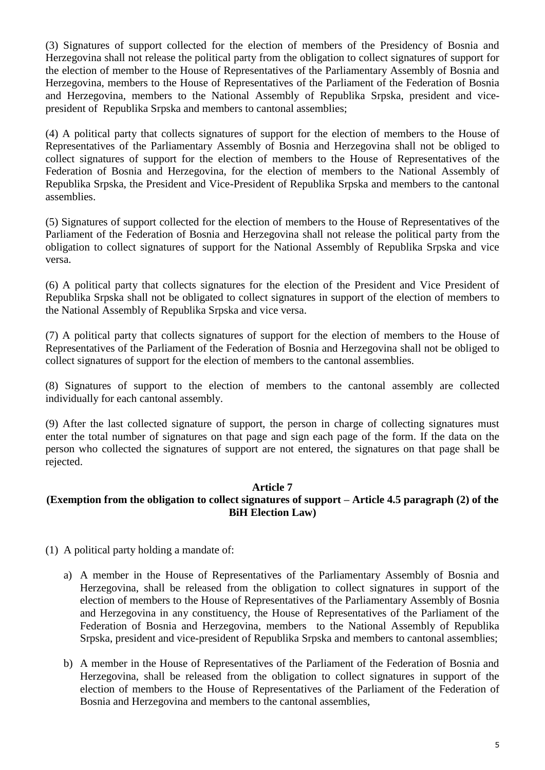(3) Signatures of support collected for the election of members of the Presidency of Bosnia and Herzegovina shall not release the political party from the obligation to collect signatures of support for the election of member to the House of Representatives of the Parliamentary Assembly of Bosnia and Herzegovina, members to the House of Representatives of the Parliament of the Federation of Bosnia and Herzegovina, members to the National Assembly of Republika Srpska, president and vicepresident of Republika Srpska and members to cantonal assemblies;

(4) A political party that collects signatures of support for the election of members to the House of Representatives of the Parliamentary Assembly of Bosnia and Herzegovina shall not be obliged to collect signatures of support for the election of members to the House of Representatives of the Federation of Bosnia and Herzegovina, for the election of members to the National Assembly of Republika Srpska, the President and Vice-President of Republika Srpska and members to the cantonal assemblies.

(5) Signatures of support collected for the election of members to the House of Representatives of the Parliament of the Federation of Bosnia and Herzegovina shall not release the political party from the obligation to collect signatures of support for the National Assembly of Republika Srpska and vice versa.

(6) A political party that collects signatures for the election of the President and Vice President of Republika Srpska shall not be obligated to collect signatures in support of the election of members to the National Assembly of Republika Srpska and vice versa.

(7) A political party that collects signatures of support for the election of members to the House of Representatives of the Parliament of the Federation of Bosnia and Herzegovina shall not be obliged to collect signatures of support for the election of members to the cantonal assemblies.

(8) Signatures of support to the election of members to the cantonal assembly are collected individually for each cantonal assembly.

(9) After the last collected signature of support, the person in charge of collecting signatures must enter the total number of signatures on that page and sign each page of the form. If the data on the person who collected the signatures of support are not entered, the signatures on that page shall be rejected.

### **Article 7**

## **(Exemption from the obligation to collect signatures of support – Article 4.5 paragraph (2) of the BiH Election Law)**

- (1) A political party holding a mandate of:
	- a) A member in the House of Representatives of the Parliamentary Assembly of Bosnia and Herzegovina, shall be released from the obligation to collect signatures in support of the election of members to the House of Representatives of the Parliamentary Assembly of Bosnia and Herzegovina in any constituency, the House of Representatives of the Parliament of the Federation of Bosnia and Herzegovina, members to the National Assembly of Republika Srpska, president and vice-president of Republika Srpska and members to cantonal assemblies;
	- b) A member in the House of Representatives of the Parliament of the Federation of Bosnia and Herzegovina, shall be released from the obligation to collect signatures in support of the election of members to the House of Representatives of the Parliament of the Federation of Bosnia and Herzegovina and members to the cantonal assemblies,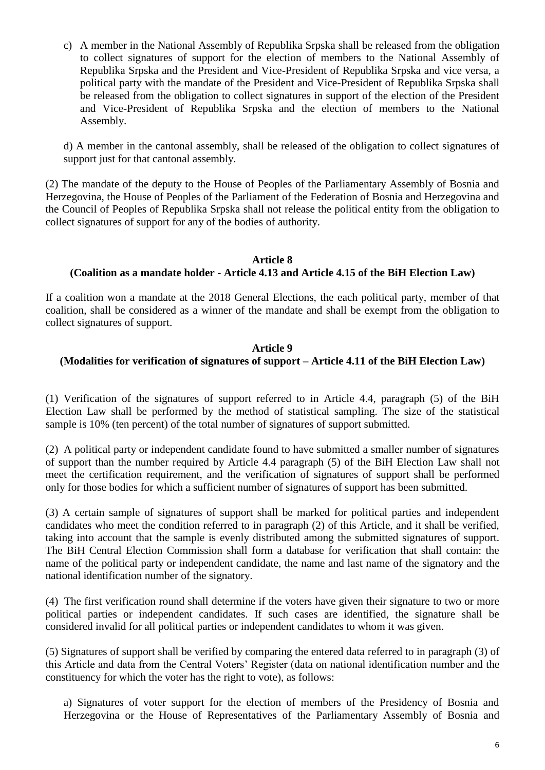c) A member in the National Assembly of Republika Srpska shall be released from the obligation to collect signatures of support for the election of members to the National Assembly of Republika Srpska and the President and Vice-President of Republika Srpska and vice versa, a political party with the mandate of the President and Vice-President of Republika Srpska shall be released from the obligation to collect signatures in support of the election of the President and Vice-President of Republika Srpska and the election of members to the National Assembly.

d) A member in the cantonal assembly, shall be released of the obligation to collect signatures of support just for that cantonal assembly.

(2) The mandate of the deputy to the House of Peoples of the Parliamentary Assembly of Bosnia and Herzegovina, the House of Peoples of the Parliament of the Federation of Bosnia and Herzegovina and the Council of Peoples of Republika Srpska shall not release the political entity from the obligation to collect signatures of support for any of the bodies of authority.

#### **Article 8 (Coalition as a mandate holder - Article 4.13 and Article 4.15 of the BiH Election Law)**

If a coalition won a mandate at the 2018 General Elections, the each political party, member of that coalition, shall be considered as a winner of the mandate and shall be exempt from the obligation to collect signatures of support.

#### **Article 9**

## **(Modalities for verification of signatures of support – Article 4.11 of the BiH Election Law)**

(1) Verification of the signatures of support referred to in Article 4.4, paragraph (5) of the BiH Election Law shall be performed by the method of statistical sampling. The size of the statistical sample is 10% (ten percent) of the total number of signatures of support submitted.

(2) A political party or independent candidate found to have submitted a smaller number of signatures of support than the number required by Article 4.4 paragraph (5) of the BiH Election Law shall not meet the certification requirement, and the verification of signatures of support shall be performed only for those bodies for which a sufficient number of signatures of support has been submitted.

(3) A certain sample of signatures of support shall be marked for political parties and independent candidates who meet the condition referred to in paragraph (2) of this Article, and it shall be verified, taking into account that the sample is evenly distributed among the submitted signatures of support. The BiH Central Election Commission shall form a database for verification that shall contain: the name of the political party or independent candidate, the name and last name of the signatory and the national identification number of the signatory.

(4) The first verification round shall determine if the voters have given their signature to two or more political parties or independent candidates. If such cases are identified, the signature shall be considered invalid for all political parties or independent candidates to whom it was given.

(5) Signatures of support shall be verified by comparing the entered data referred to in paragraph (3) of this Article and data from the Central Voters' Register (data on national identification number and the constituency for which the voter has the right to vote), as follows:

a) Signatures of voter support for the election of members of the Presidency of Bosnia and Herzegovina or the House of Representatives of the Parliamentary Assembly of Bosnia and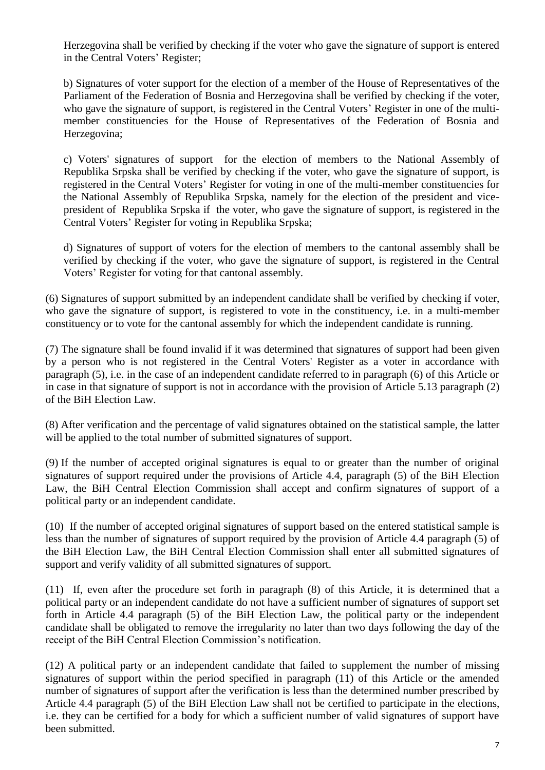Herzegovina shall be verified by checking if the voter who gave the signature of support is entered in the Central Voters' Register;

b) Signatures of voter support for the election of a member of the House of Representatives of the Parliament of the Federation of Bosnia and Herzegovina shall be verified by checking if the voter, who gave the signature of support, is registered in the Central Voters' Register in one of the multimember constituencies for the House of Representatives of the Federation of Bosnia and Herzegovina;

c) Voters' signatures of support for the election of members to the National Assembly of Republika Srpska shall be verified by checking if the voter, who gave the signature of support, is registered in the Central Voters' Register for voting in one of the multi-member constituencies for the National Assembly of Republika Srpska, namely for the election of the president and vicepresident of Republika Srpska if the voter, who gave the signature of support, is registered in the Central Voters' Register for voting in Republika Srpska;

d) Signatures of support of voters for the election of members to the cantonal assembly shall be verified by checking if the voter, who gave the signature of support, is registered in the Central Voters' Register for voting for that cantonal assembly.

(6) Signatures of support submitted by an independent candidate shall be verified by checking if voter, who gave the signature of support, is registered to vote in the constituency, i.e. in a multi-member constituency or to vote for the cantonal assembly for which the independent candidate is running.

(7) The signature shall be found invalid if it was determined that signatures of support had been given by a person who is not registered in the Central Voters' Register as a voter in accordance with paragraph (5), i.e. in the case of an independent candidate referred to in paragraph (6) of this Article or in case in that signature of support is not in accordance with the provision of Article 5.13 paragraph (2) of the BiH Election Law.

(8) After verification and the percentage of valid signatures obtained on the statistical sample, the latter will be applied to the total number of submitted signatures of support.

(9) If the number of accepted original signatures is equal to or greater than the number of original signatures of support required under the provisions of Article 4.4, paragraph (5) of the BiH Election Law, the BiH Central Election Commission shall accept and confirm signatures of support of a political party or an independent candidate.

(10) If the number of accepted original signatures of support based on the entered statistical sample is less than the number of signatures of support required by the provision of Article 4.4 paragraph (5) of the BiH Election Law, the BiH Central Election Commission shall enter all submitted signatures of support and verify validity of all submitted signatures of support.

(11) If, even after the procedure set forth in paragraph (8) of this Article, it is determined that a political party or an independent candidate do not have a sufficient number of signatures of support set forth in Article 4.4 paragraph (5) of the BiH Election Law, the political party or the independent candidate shall be obligated to remove the irregularity no later than two days following the day of the receipt of the BiH Central Election Commission's notification.

(12) A political party or an independent candidate that failed to supplement the number of missing signatures of support within the period specified in paragraph (11) of this Article or the amended number of signatures of support after the verification is less than the determined number prescribed by Article 4.4 paragraph (5) of the BiH Election Law shall not be certified to participate in the elections, i.e. they can be certified for a body for which a sufficient number of valid signatures of support have been submitted.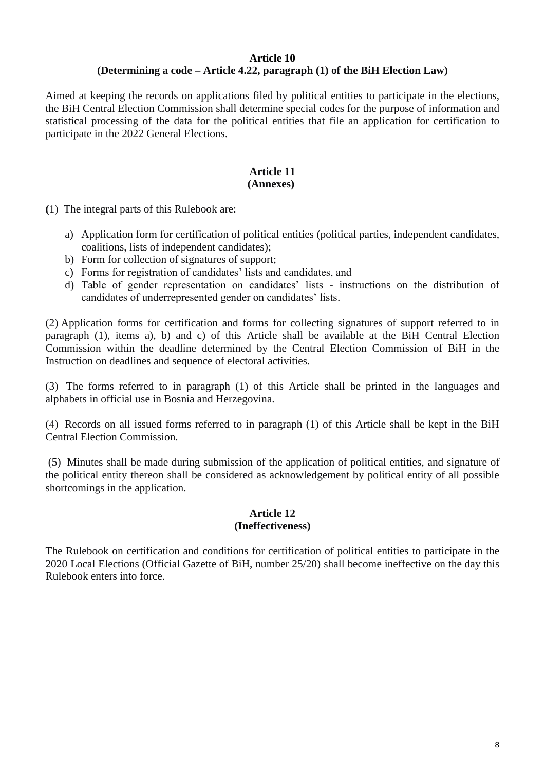#### **Article 10 (Determining a code – Article 4.22, paragraph (1) of the BiH Election Law)**

Aimed at keeping the records on applications filed by political entities to participate in the elections, the BiH Central Election Commission shall determine special codes for the purpose of information and statistical processing of the data for the political entities that file an application for certification to participate in the 2022 General Elections.

# **Article 11**

## **(Annexes)**

**(**1) The integral parts of this Rulebook are:

- a) Application form for certification of political entities (political parties, independent candidates, coalitions, lists of independent candidates);
- b) Form for collection of signatures of support;
- c) Forms for registration of candidates' lists and candidates, and
- d) Table of gender representation on candidates' lists instructions on the distribution of candidates of underrepresented gender on candidates' lists.

(2) Application forms for certification and forms for collecting signatures of support referred to in paragraph (1), items a), b) and c) of this Article shall be available at the BiH Central Election Commission within the deadline determined by the Central Election Commission of BiH in the Instruction on deadlines and sequence of electoral activities.

(3) The forms referred to in paragraph (1) of this Article shall be printed in the languages and alphabets in official use in Bosnia and Herzegovina.

(4) Records on all issued forms referred to in paragraph (1) of this Article shall be kept in the BiH Central Election Commission.

(5) Minutes shall be made during submission of the application of political entities, and signature of the political entity thereon shall be considered as acknowledgement by political entity of all possible shortcomings in the application.

#### **Article 12 (Ineffectiveness)**

The Rulebook on certification and conditions for certification of political entities to participate in the 2020 Local Elections (Official Gazette of BiH, number 25/20) shall become ineffective on the day this Rulebook enters into force.